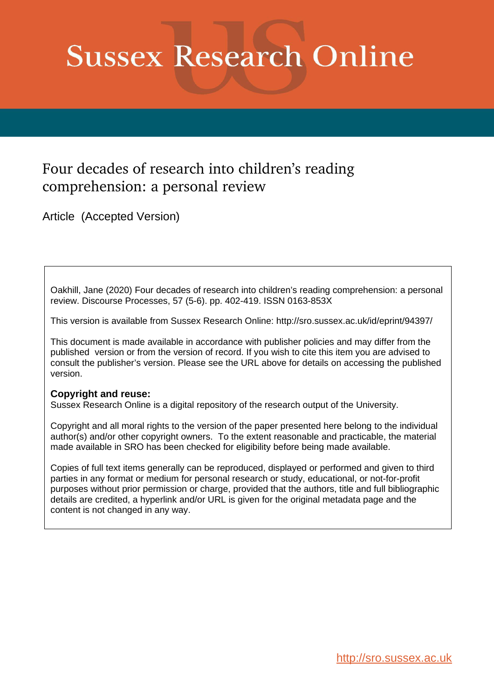# **Sussex Research Online**

## Four decades of research into children's reading comprehension: a personal review

Article (Accepted Version)

Oakhill, Jane (2020) Four decades of research into children's reading comprehension: a personal review. Discourse Processes, 57 (5-6). pp. 402-419. ISSN 0163-853X

This version is available from Sussex Research Online: http://sro.sussex.ac.uk/id/eprint/94397/

This document is made available in accordance with publisher policies and may differ from the published version or from the version of record. If you wish to cite this item you are advised to consult the publisher's version. Please see the URL above for details on accessing the published version.

#### **Copyright and reuse:**

Sussex Research Online is a digital repository of the research output of the University.

Copyright and all moral rights to the version of the paper presented here belong to the individual author(s) and/or other copyright owners. To the extent reasonable and practicable, the material made available in SRO has been checked for eligibility before being made available.

Copies of full text items generally can be reproduced, displayed or performed and given to third parties in any format or medium for personal research or study, educational, or not-for-profit purposes without prior permission or charge, provided that the authors, title and full bibliographic details are credited, a hyperlink and/or URL is given for the original metadata page and the content is not changed in any way.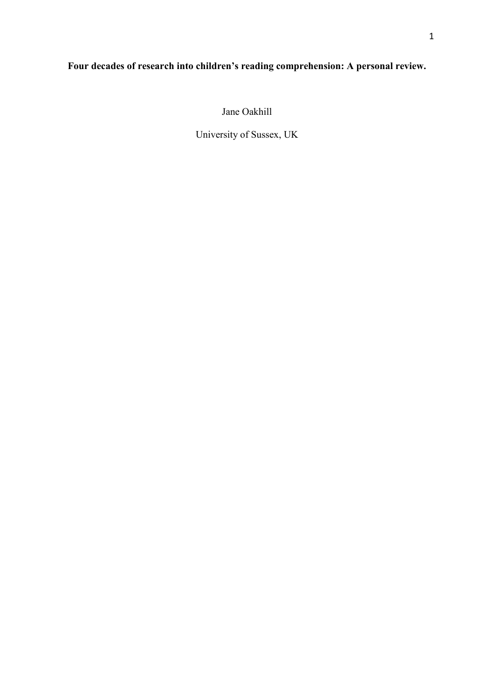### **Four decades of research into children's reading comprehension: A personal review.**

Jane Oakhill

University of Sussex, UK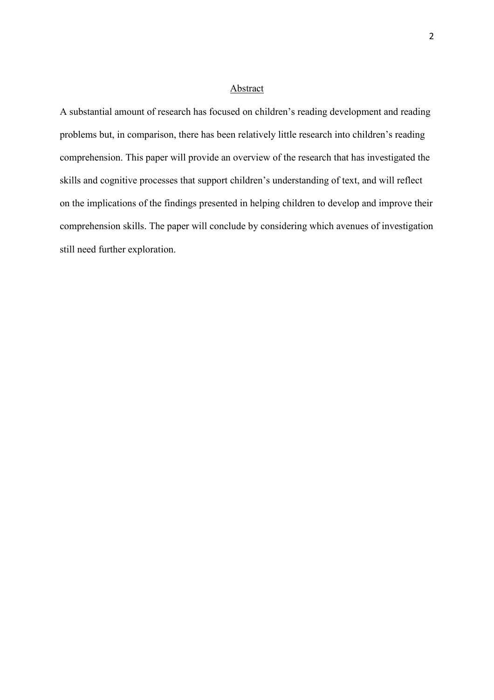#### Abstract

A substantial amount of research has focused on children's reading development and reading problems but, in comparison, there has been relatively little research into children's reading comprehension. This paper will provide an overview of the research that has investigated the skills and cognitive processes that support children's understanding of text, and will reflect on the implications of the findings presented in helping children to develop and improve their comprehension skills. The paper will conclude by considering which avenues of investigation still need further exploration.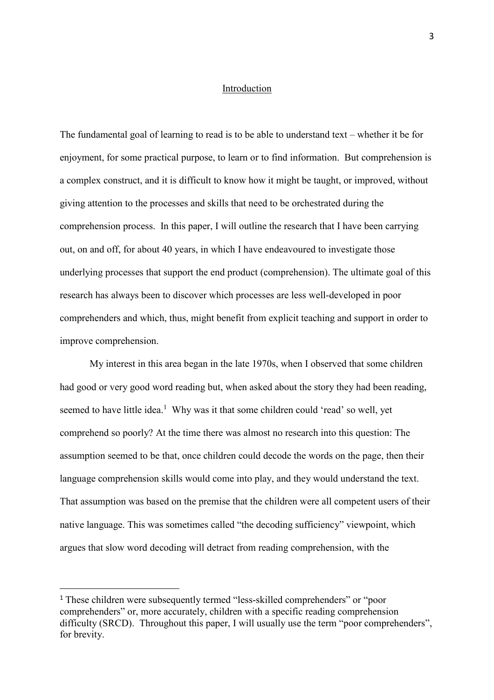#### Introduction

The fundamental goal of learning to read is to be able to understand text – whether it be for enjoyment, for some practical purpose, to learn or to find information. But comprehension is a complex construct, and it is difficult to know how it might be taught, or improved, without giving attention to the processes and skills that need to be orchestrated during the comprehension process. In this paper, I will outline the research that I have been carrying out, on and off, for about 40 years, in which I have endeavoured to investigate those underlying processes that support the end product (comprehension). The ultimate goal of this research has always been to discover which processes are less well-developed in poor comprehenders and which, thus, might benefit from explicit teaching and support in order to improve comprehension.

My interest in this area began in the late 1970s, when I observed that some children had good or very good word reading but, when asked about the story they had been reading, seemed to have little idea.<sup>1</sup> Why was it that some children could 'read' so well, yet comprehend so poorly? At the time there was almost no research into this question: The assumption seemed to be that, once children could decode the words on the page, then their language comprehension skills would come into play, and they would understand the text. That assumption was based on the premise that the children were all competent users of their native language. This was sometimes called "the decoding sufficiency" viewpoint, which argues that slow word decoding will detract from reading comprehension, with the

 <sup>1</sup> These children were subsequently termed "less-skilled comprehenders" or "poor comprehenders" or, more accurately, children with a specific reading comprehension difficulty (SRCD). Throughout this paper, I will usually use the term "poor comprehenders", for brevity.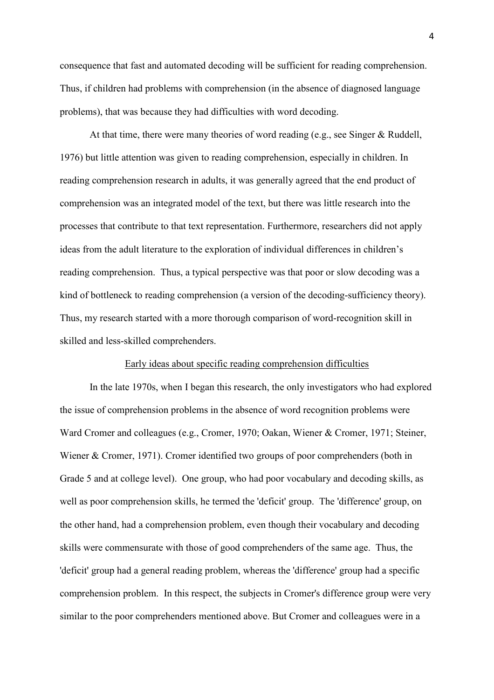consequence that fast and automated decoding will be sufficient for reading comprehension. Thus, if children had problems with comprehension (in the absence of diagnosed language problems), that was because they had difficulties with word decoding.

At that time, there were many theories of word reading (e.g., see Singer & Ruddell, 1976) but little attention was given to reading comprehension, especially in children. In reading comprehension research in adults, it was generally agreed that the end product of comprehension was an integrated model of the text, but there was little research into the processes that contribute to that text representation. Furthermore, researchers did not apply ideas from the adult literature to the exploration of individual differences in children's reading comprehension. Thus, a typical perspective was that poor or slow decoding was a kind of bottleneck to reading comprehension (a version of the decoding-sufficiency theory). Thus, my research started with a more thorough comparison of word-recognition skill in skilled and less-skilled comprehenders.

#### Early ideas about specific reading comprehension difficulties

In the late 1970s, when I began this research, the only investigators who had explored the issue of comprehension problems in the absence of word recognition problems were Ward Cromer and colleagues (e.g., Cromer, 1970; Oakan, Wiener & Cromer, 1971; Steiner, Wiener & Cromer, 1971). Cromer identified two groups of poor comprehenders (both in Grade 5 and at college level). One group, who had poor vocabulary and decoding skills, as well as poor comprehension skills, he termed the 'deficit' group. The 'difference' group, on the other hand, had a comprehension problem, even though their vocabulary and decoding skills were commensurate with those of good comprehenders of the same age. Thus, the 'deficit' group had a general reading problem, whereas the 'difference' group had a specific comprehension problem. In this respect, the subjects in Cromer's difference group were very similar to the poor comprehenders mentioned above. But Cromer and colleagues were in a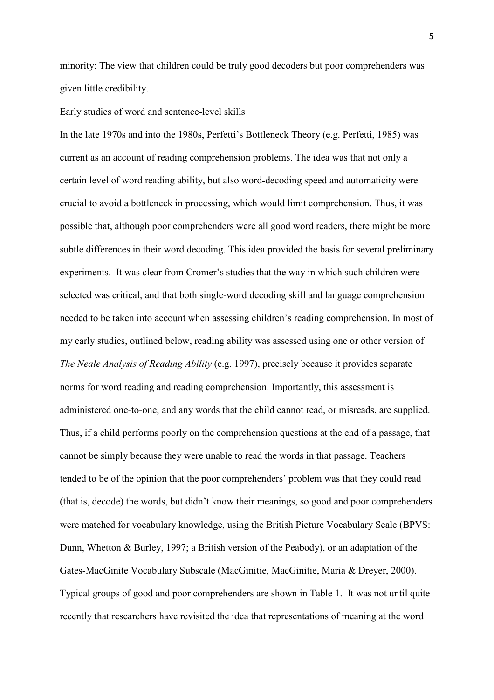minority: The view that children could be truly good decoders but poor comprehenders was given little credibility.

#### Early studies of word and sentence-level skills

In the late 1970s and into the 1980s, Perfetti's Bottleneck Theory (e.g. Perfetti, 1985) was current as an account of reading comprehension problems. The idea was that not only a certain level of word reading ability, but also word-decoding speed and automaticity were crucial to avoid a bottleneck in processing, which would limit comprehension. Thus, it was possible that, although poor comprehenders were all good word readers, there might be more subtle differences in their word decoding. This idea provided the basis for several preliminary experiments. It was clear from Cromer's studies that the way in which such children were selected was critical, and that both single-word decoding skill and language comprehension needed to be taken into account when assessing children's reading comprehension. In most of my early studies, outlined below, reading ability was assessed using one or other version of *The Neale Analysis of Reading Ability* (e.g. 1997), precisely because it provides separate norms for word reading and reading comprehension. Importantly, this assessment is administered one-to-one, and any words that the child cannot read, or misreads, are supplied. Thus, if a child performs poorly on the comprehension questions at the end of a passage, that cannot be simply because they were unable to read the words in that passage. Teachers tended to be of the opinion that the poor comprehenders' problem was that they could read (that is, decode) the words, but didn't know their meanings, so good and poor comprehenders were matched for vocabulary knowledge, using the British Picture Vocabulary Scale (BPVS: Dunn, Whetton & Burley, 1997; a British version of the Peabody), or an adaptation of the Gates-MacGinite Vocabulary Subscale (MacGinitie, MacGinitie, Maria & Dreyer, 2000). Typical groups of good and poor comprehenders are shown in Table 1. It was not until quite recently that researchers have revisited the idea that representations of meaning at the word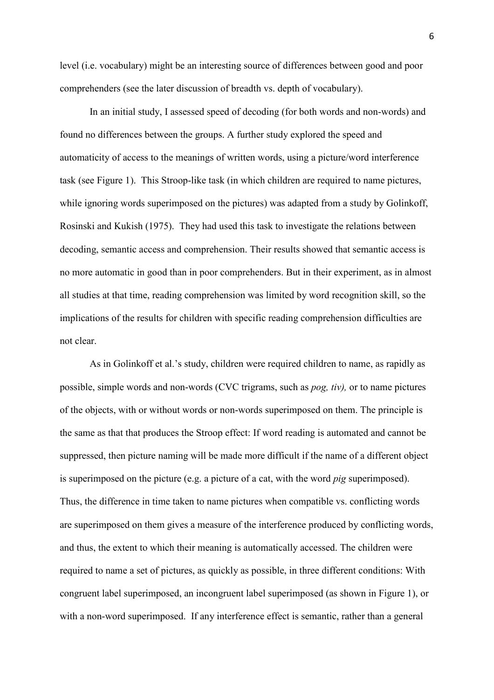level (i.e. vocabulary) might be an interesting source of differences between good and poor comprehenders (see the later discussion of breadth vs. depth of vocabulary).

In an initial study, I assessed speed of decoding (for both words and non-words) and found no differences between the groups. A further study explored the speed and automaticity of access to the meanings of written words, using a picture/word interference task (see Figure 1). This Stroop-like task (in which children are required to name pictures, while ignoring words superimposed on the pictures) was adapted from a study by Golinkoff, Rosinski and Kukish (1975). They had used this task to investigate the relations between decoding, semantic access and comprehension. Their results showed that semantic access is no more automatic in good than in poor comprehenders. But in their experiment, as in almost all studies at that time, reading comprehension was limited by word recognition skill, so the implications of the results for children with specific reading comprehension difficulties are not clear.

As in Golinkoff et al.'s study, children were required children to name, as rapidly as possible, simple words and non-words (CVC trigrams, such as *pog, tiv),* or to name pictures of the objects, with or without words or non-words superimposed on them. The principle is the same as that that produces the Stroop effect: If word reading is automated and cannot be suppressed, then picture naming will be made more difficult if the name of a different object is superimposed on the picture (e.g. a picture of a cat, with the word *pig* superimposed). Thus, the difference in time taken to name pictures when compatible vs. conflicting words are superimposed on them gives a measure of the interference produced by conflicting words, and thus, the extent to which their meaning is automatically accessed. The children were required to name a set of pictures, as quickly as possible, in three different conditions: With congruent label superimposed, an incongruent label superimposed (as shown in Figure 1), or with a non-word superimposed. If any interference effect is semantic, rather than a general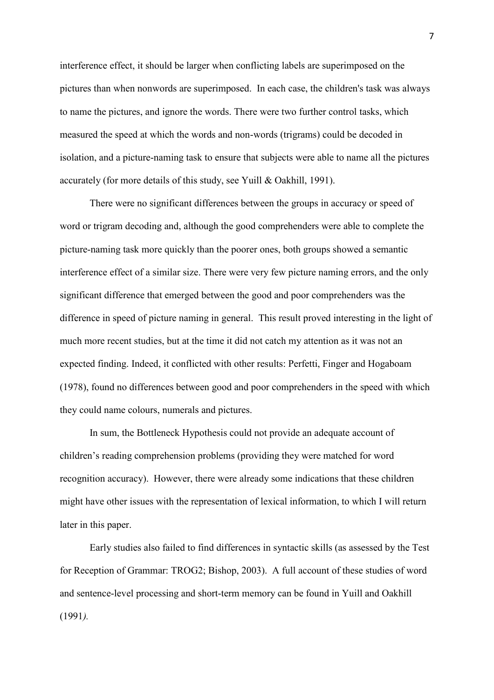interference effect, it should be larger when conflicting labels are superimposed on the pictures than when nonwords are superimposed. In each case, the children's task was always to name the pictures, and ignore the words. There were two further control tasks, which measured the speed at which the words and non-words (trigrams) could be decoded in isolation, and a picture-naming task to ensure that subjects were able to name all the pictures accurately (for more details of this study, see Yuill & Oakhill, 1991).

There were no significant differences between the groups in accuracy or speed of word or trigram decoding and, although the good comprehenders were able to complete the picture-naming task more quickly than the poorer ones, both groups showed a semantic interference effect of a similar size. There were very few picture naming errors, and the only significant difference that emerged between the good and poor comprehenders was the difference in speed of picture naming in general. This result proved interesting in the light of much more recent studies, but at the time it did not catch my attention as it was not an expected finding. Indeed, it conflicted with other results: Perfetti, Finger and Hogaboam (1978), found no differences between good and poor comprehenders in the speed with which they could name colours, numerals and pictures.

In sum, the Bottleneck Hypothesis could not provide an adequate account of children's reading comprehension problems (providing they were matched for word recognition accuracy). However, there were already some indications that these children might have other issues with the representation of lexical information, to which I will return later in this paper.

Early studies also failed to find differences in syntactic skills (as assessed by the Test for Reception of Grammar: TROG2; Bishop, 2003). A full account of these studies of word and sentence-level processing and short-term memory can be found in Yuill and Oakhill (1991*).*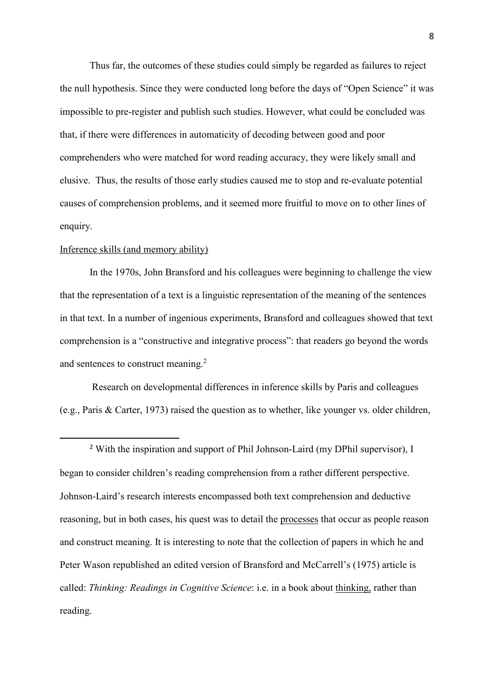Thus far, the outcomes of these studies could simply be regarded as failures to reject the null hypothesis. Since they were conducted long before the days of "Open Science" it was impossible to pre-register and publish such studies. However, what could be concluded was that, if there were differences in automaticity of decoding between good and poor comprehenders who were matched for word reading accuracy, they were likely small and elusive. Thus, the results of those early studies caused me to stop and re-evaluate potential causes of comprehension problems, and it seemed more fruitful to move on to other lines of enquiry.

#### Inference skills (and memory ability)

In the 1970s, John Bransford and his colleagues were beginning to challenge the view that the representation of a text is a linguistic representation of the meaning of the sentences in that text. In a number of ingenious experiments, Bransford and colleagues showed that text comprehension is a "constructive and integrative process": that readers go beyond the words and sentences to construct meaning. $2$ 

Research on developmental differences in inference skills by Paris and colleagues (e.g., Paris & Carter, 1973) raised the question as to whether, like younger vs. older children,

<sup>&</sup>lt;sup>2</sup> With the inspiration and support of Phil Johnson-Laird (my DPhil supervisor), I began to consider children's reading comprehension from a rather different perspective. Johnson-Laird's research interests encompassed both text comprehension and deductive reasoning, but in both cases, his quest was to detail the processes that occur as people reason and construct meaning. It is interesting to note that the collection of papers in which he and Peter Wason republished an edited version of Bransford and McCarrell's (1975) article is called: *Thinking: Readings in Cognitive Science*: i.e. in a book about thinking, rather than reading.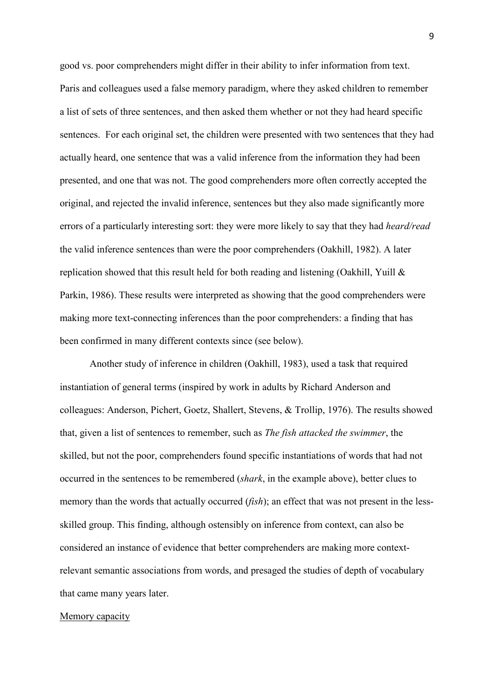good vs. poor comprehenders might differ in their ability to infer information from text. Paris and colleagues used a false memory paradigm, where they asked children to remember a list of sets of three sentences, and then asked them whether or not they had heard specific sentences. For each original set, the children were presented with two sentences that they had actually heard, one sentence that was a valid inference from the information they had been presented, and one that was not. The good comprehenders more often correctly accepted the original, and rejected the invalid inference, sentences but they also made significantly more errors of a particularly interesting sort: they were more likely to say that they had *heard/read* the valid inference sentences than were the poor comprehenders (Oakhill, 1982). A later replication showed that this result held for both reading and listening (Oakhill, Yuill & Parkin, 1986). These results were interpreted as showing that the good comprehenders were making more text-connecting inferences than the poor comprehenders: a finding that has been confirmed in many different contexts since (see below).

Another study of inference in children (Oakhill, 1983), used a task that required instantiation of general terms (inspired by work in adults by Richard Anderson and colleagues: Anderson, Pichert, Goetz, Shallert, Stevens, & Trollip, 1976). The results showed that, given a list of sentences to remember, such as *The fish attacked the swimmer*, the skilled, but not the poor, comprehenders found specific instantiations of words that had not occurred in the sentences to be remembered (*shark*, in the example above), better clues to memory than the words that actually occurred (*fish*); an effect that was not present in the lessskilled group. This finding, although ostensibly on inference from context, can also be considered an instance of evidence that better comprehenders are making more contextrelevant semantic associations from words, and presaged the studies of depth of vocabulary that came many years later.

#### Memory capacity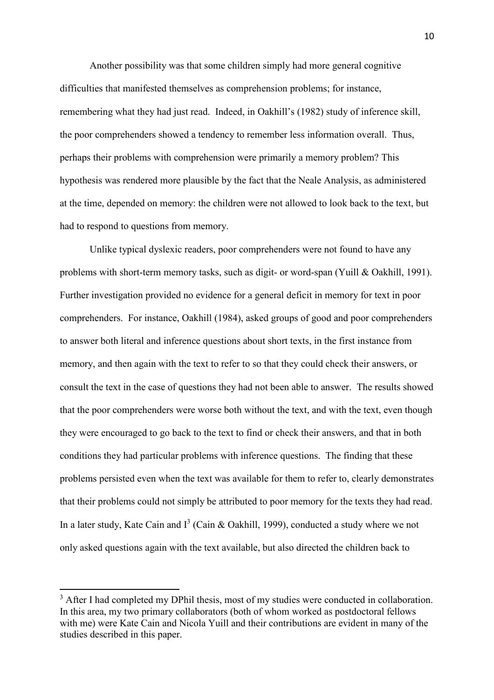Another possibility was that some children simply had more general cognitive difficulties that manifested themselves as comprehension problems; for instance, remembering what they had just read. Indeed, in Oakhill's (1982) study of inference skill, the poor comprehenders showed a tendency to remember less information overall. Thus, perhaps their problems with comprehension were primarily a memory problem? This hypothesis was rendered more plausible by the fact that the Neale Analysis, as administered at the time, depended on memory: the children were not allowed to look back to the text, but had to respond to questions from memory.

Unlike typical dyslexic readers, poor comprehenders were not found to have any problems with short-term memory tasks, such as digit- or word-span (Yuill & Oakhill, 1991). Further investigation provided no evidence for a general deficit in memory for text in poor comprehenders. For instance, Oakhill (1984), asked groups of good and poor comprehenders to answer both literal and inference questions about short texts, in the first instance from memory, and then again with the text to refer to so that they could check their answers, or consult the text in the case of questions they had not been able to answer. The results showed that the poor comprehenders were worse both without the text, and with the text, even though they were encouraged to go back to the text to find or check their answers, and that in both conditions they had particular problems with inference questions. The finding that these problems persisted even when the text was available for them to refer to, clearly demonstrates that their problems could not simply be attributed to poor memory for the texts they had read. In a later study, Kate Cain and  $I^3$  (Cain & Oakhill, 1999), conducted a study where we not only asked questions again with the text available, but also directed the children back to

 $\overline{a}$ 

<sup>&</sup>lt;sup>3</sup> After I had completed my DPhil thesis, most of my studies were conducted in collaboration. In this area, my two primary collaborators (both of whom worked as postdoctoral fellows with me) were Kate Cain and Nicola Yuill and their contributions are evident in many of the studies described in this paper.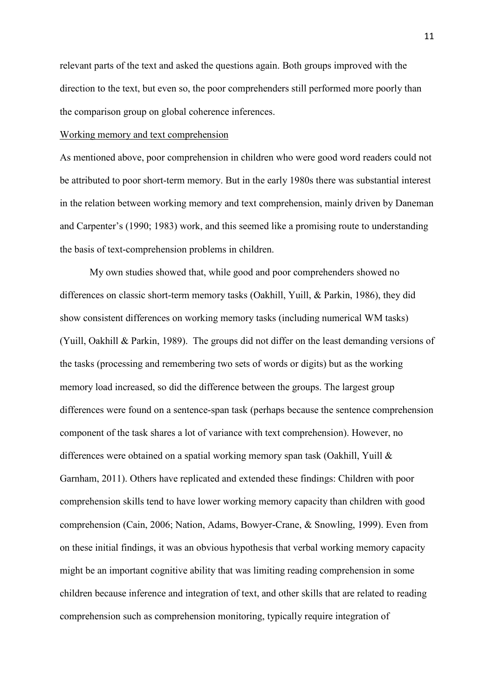relevant parts of the text and asked the questions again. Both groups improved with the direction to the text, but even so, the poor comprehenders still performed more poorly than the comparison group on global coherence inferences.

#### Working memory and text comprehension

As mentioned above, poor comprehension in children who were good word readers could not be attributed to poor short-term memory. But in the early 1980s there was substantial interest in the relation between working memory and text comprehension, mainly driven by Daneman and Carpenter's (1990; 1983) work, and this seemed like a promising route to understanding the basis of text-comprehension problems in children.

My own studies showed that, while good and poor comprehenders showed no differences on classic short-term memory tasks (Oakhill, Yuill, & Parkin, 1986), they did show consistent differences on working memory tasks (including numerical WM tasks) (Yuill, Oakhill & Parkin, 1989). The groups did not differ on the least demanding versions of the tasks (processing and remembering two sets of words or digits) but as the working memory load increased, so did the difference between the groups. The largest group differences were found on a sentence-span task (perhaps because the sentence comprehension component of the task shares a lot of variance with text comprehension). However, no differences were obtained on a spatial working memory span task (Oakhill, Yuill & Garnham, 2011). Others have replicated and extended these findings: Children with poor comprehension skills tend to have lower working memory capacity than children with good comprehension (Cain, 2006; Nation, Adams, Bowyer-Crane, & Snowling, 1999). Even from on these initial findings, it was an obvious hypothesis that verbal working memory capacity might be an important cognitive ability that was limiting reading comprehension in some children because inference and integration of text, and other skills that are related to reading comprehension such as comprehension monitoring, typically require integration of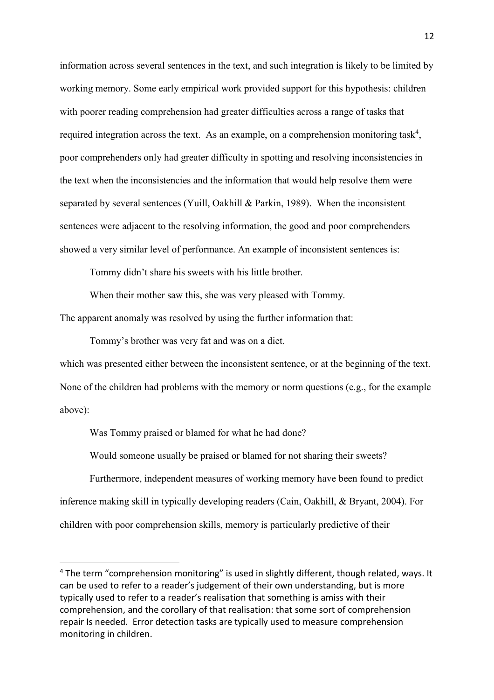information across several sentences in the text, and such integration is likely to be limited by working memory. Some early empirical work provided support for this hypothesis: children with poorer reading comprehension had greater difficulties across a range of tasks that required integration across the text. As an example, on a comprehension monitoring task<sup>4</sup>, poor comprehenders only had greater difficulty in spotting and resolving inconsistencies in the text when the inconsistencies and the information that would help resolve them were separated by several sentences (Yuill, Oakhill & Parkin, 1989). When the inconsistent sentences were adjacent to the resolving information, the good and poor comprehenders showed a very similar level of performance. An example of inconsistent sentences is:

Tommy didn't share his sweets with his little brother.

When their mother saw this, she was very pleased with Tommy.

The apparent anomaly was resolved by using the further information that:

Tommy's brother was very fat and was on a diet.

which was presented either between the inconsistent sentence, or at the beginning of the text. None of the children had problems with the memory or norm questions (e.g., for the example above):

Was Tommy praised or blamed for what he had done?

Would someone usually be praised or blamed for not sharing their sweets?

Furthermore, independent measures of working memory have been found to predict inference making skill in typically developing readers (Cain, Oakhill, & Bryant, 2004). For children with poor comprehension skills, memory is particularly predictive of their

<sup>&</sup>lt;sup>4</sup> The term "comprehension monitoring" is used in slightly different, though related, ways. It can be used to refer to a reader's judgement of their own understanding, but is more typically used to refer to a reader's realisation that something is amiss with their comprehension, and the corollary of that realisation: that some sort of comprehension repair Is needed. Error detection tasks are typically used to measure comprehension monitoring in children.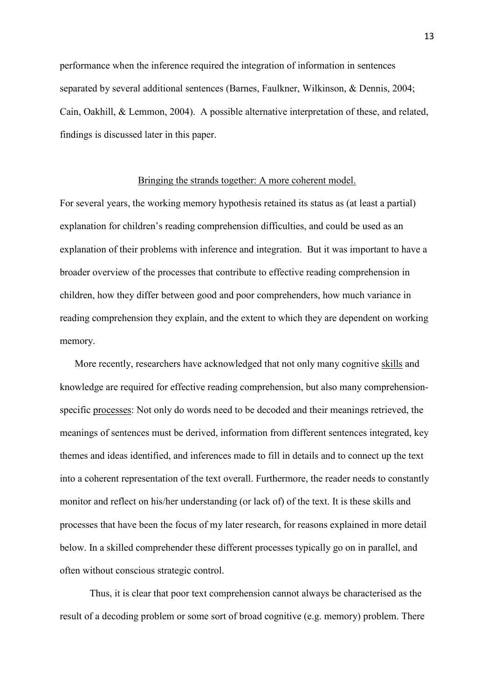performance when the inference required the integration of information in sentences separated by several additional sentences (Barnes, Faulkner, Wilkinson, & Dennis, 2004; Cain, Oakhill, & Lemmon, 2004). A possible alternative interpretation of these, and related, findings is discussed later in this paper.

#### Bringing the strands together: A more coherent model.

For several years, the working memory hypothesis retained its status as (at least a partial) explanation for children's reading comprehension difficulties, and could be used as an explanation of their problems with inference and integration. But it was important to have a broader overview of the processes that contribute to effective reading comprehension in children, how they differ between good and poor comprehenders, how much variance in reading comprehension they explain, and the extent to which they are dependent on working memory.

More recently, researchers have acknowledged that not only many cognitive skills and knowledge are required for effective reading comprehension, but also many comprehensionspecific processes: Not only do words need to be decoded and their meanings retrieved, the meanings of sentences must be derived, information from different sentences integrated, key themes and ideas identified, and inferences made to fill in details and to connect up the text into a coherent representation of the text overall. Furthermore, the reader needs to constantly monitor and reflect on his/her understanding (or lack of) of the text. It is these skills and processes that have been the focus of my later research, for reasons explained in more detail below. In a skilled comprehender these different processes typically go on in parallel, and often without conscious strategic control.

Thus, it is clear that poor text comprehension cannot always be characterised as the result of a decoding problem or some sort of broad cognitive (e.g. memory) problem. There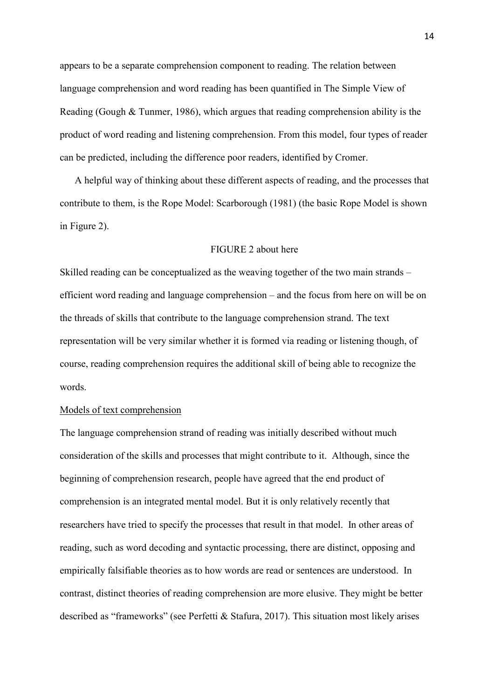appears to be a separate comprehension component to reading. The relation between language comprehension and word reading has been quantified in The Simple View of Reading (Gough & Tunmer, 1986), which argues that reading comprehension ability is the product of word reading and listening comprehension. From this model, four types of reader can be predicted, including the difference poor readers, identified by Cromer.

A helpful way of thinking about these different aspects of reading, and the processes that contribute to them, is the Rope Model: Scarborough (1981) (the basic Rope Model is shown in Figure 2).

#### FIGURE 2 about here

Skilled reading can be conceptualized as the weaving together of the two main strands – efficient word reading and language comprehension – and the focus from here on will be on the threads of skills that contribute to the language comprehension strand. The text representation will be very similar whether it is formed via reading or listening though, of course, reading comprehension requires the additional skill of being able to recognize the words.

#### Models of text comprehension

The language comprehension strand of reading was initially described without much consideration of the skills and processes that might contribute to it. Although, since the beginning of comprehension research, people have agreed that the end product of comprehension is an integrated mental model. But it is only relatively recently that researchers have tried to specify the processes that result in that model. In other areas of reading, such as word decoding and syntactic processing, there are distinct, opposing and empirically falsifiable theories as to how words are read or sentences are understood. In contrast, distinct theories of reading comprehension are more elusive. They might be better described as "frameworks" (see Perfetti & Stafura, 2017). This situation most likely arises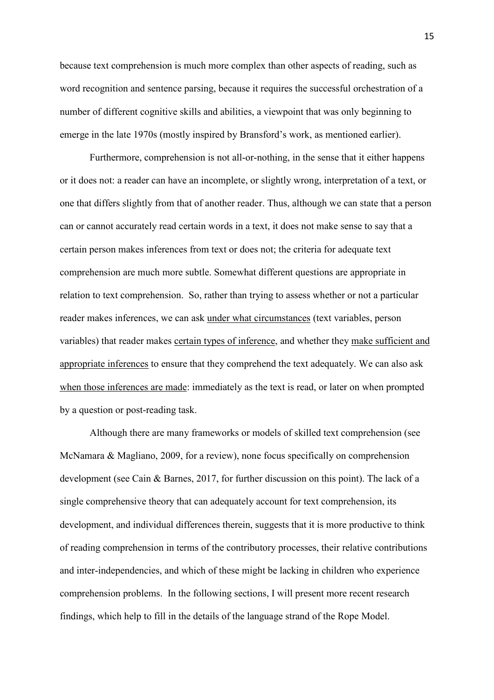because text comprehension is much more complex than other aspects of reading, such as word recognition and sentence parsing, because it requires the successful orchestration of a number of different cognitive skills and abilities, a viewpoint that was only beginning to emerge in the late 1970s (mostly inspired by Bransford's work, as mentioned earlier).

Furthermore, comprehension is not all-or-nothing, in the sense that it either happens or it does not: a reader can have an incomplete, or slightly wrong, interpretation of a text, or one that differs slightly from that of another reader. Thus, although we can state that a person can or cannot accurately read certain words in a text, it does not make sense to say that a certain person makes inferences from text or does not; the criteria for adequate text comprehension are much more subtle. Somewhat different questions are appropriate in relation to text comprehension. So, rather than trying to assess whether or not a particular reader makes inferences, we can ask under what circumstances (text variables, person variables) that reader makes certain types of inference, and whether they make sufficient and appropriate inferences to ensure that they comprehend the text adequately. We can also ask when those inferences are made: immediately as the text is read, or later on when prompted by a question or post-reading task.

Although there are many frameworks or models of skilled text comprehension (see McNamara & Magliano, 2009, for a review), none focus specifically on comprehension development (see Cain & Barnes, 2017, for further discussion on this point). The lack of a single comprehensive theory that can adequately account for text comprehension, its development, and individual differences therein, suggests that it is more productive to think of reading comprehension in terms of the contributory processes, their relative contributions and inter-independencies, and which of these might be lacking in children who experience comprehension problems. In the following sections, I will present more recent research findings, which help to fill in the details of the language strand of the Rope Model.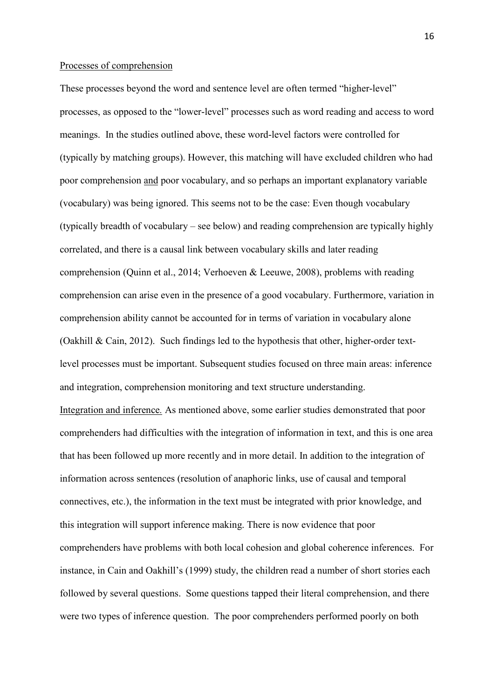#### Processes of comprehension

These processes beyond the word and sentence level are often termed "higher-level" processes, as opposed to the "lower-level" processes such as word reading and access to word meanings. In the studies outlined above, these word-level factors were controlled for (typically by matching groups). However, this matching will have excluded children who had poor comprehension and poor vocabulary, and so perhaps an important explanatory variable (vocabulary) was being ignored. This seems not to be the case: Even though vocabulary (typically breadth of vocabulary – see below) and reading comprehension are typically highly correlated, and there is a causal link between vocabulary skills and later reading comprehension (Quinn et al., 2014; Verhoeven & Leeuwe, 2008), problems with reading comprehension can arise even in the presence of a good vocabulary. Furthermore, variation in comprehension ability cannot be accounted for in terms of variation in vocabulary alone (Oakhill & Cain, 2012). Such findings led to the hypothesis that other, higher-order textlevel processes must be important. Subsequent studies focused on three main areas: inference and integration, comprehension monitoring and text structure understanding. Integration and inference*.* As mentioned above, some earlier studies demonstrated that poor comprehenders had difficulties with the integration of information in text, and this is one area that has been followed up more recently and in more detail. In addition to the integration of information across sentences (resolution of anaphoric links, use of causal and temporal connectives, etc.), the information in the text must be integrated with prior knowledge, and this integration will support inference making. There is now evidence that poor comprehenders have problems with both local cohesion and global coherence inferences. For instance, in Cain and Oakhill's (1999) study, the children read a number of short stories each followed by several questions. Some questions tapped their literal comprehension, and there were two types of inference question. The poor comprehenders performed poorly on both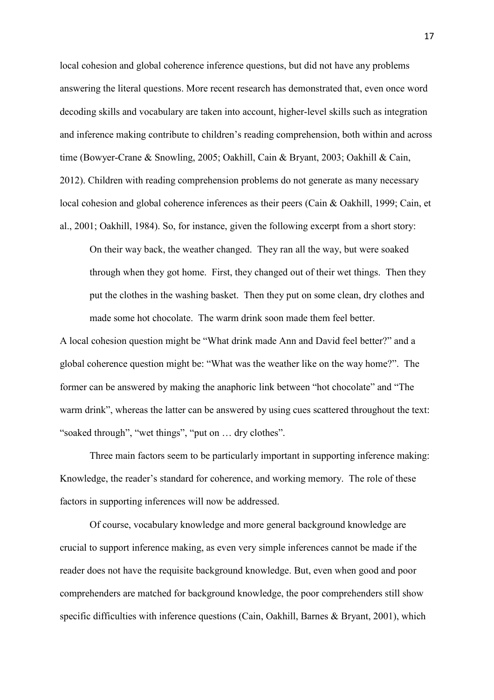local cohesion and global coherence inference questions, but did not have any problems answering the literal questions. More recent research has demonstrated that, even once word decoding skills and vocabulary are taken into account, higher-level skills such as integration and inference making contribute to children's reading comprehension, both within and across time (Bowyer-Crane & Snowling, 2005; Oakhill, Cain & Bryant, 2003; Oakhill & Cain, 2012). Children with reading comprehension problems do not generate as many necessary local cohesion and global coherence inferences as their peers (Cain & Oakhill, 1999; Cain, et al., 2001; Oakhill, 1984). So, for instance, given the following excerpt from a short story:

On their way back, the weather changed. They ran all the way, but were soaked through when they got home. First, they changed out of their wet things. Then they put the clothes in the washing basket. Then they put on some clean, dry clothes and made some hot chocolate. The warm drink soon made them feel better.

A local cohesion question might be "What drink made Ann and David feel better?" and a global coherence question might be: "What was the weather like on the way home?". The former can be answered by making the anaphoric link between "hot chocolate" and "The warm drink", whereas the latter can be answered by using cues scattered throughout the text: "soaked through", "wet things", "put on … dry clothes".

Three main factors seem to be particularly important in supporting inference making: Knowledge, the reader's standard for coherence, and working memory. The role of these factors in supporting inferences will now be addressed.

Of course, vocabulary knowledge and more general background knowledge are crucial to support inference making, as even very simple inferences cannot be made if the reader does not have the requisite background knowledge. But, even when good and poor comprehenders are matched for background knowledge, the poor comprehenders still show specific difficulties with inference questions (Cain, Oakhill, Barnes & Bryant, 2001), which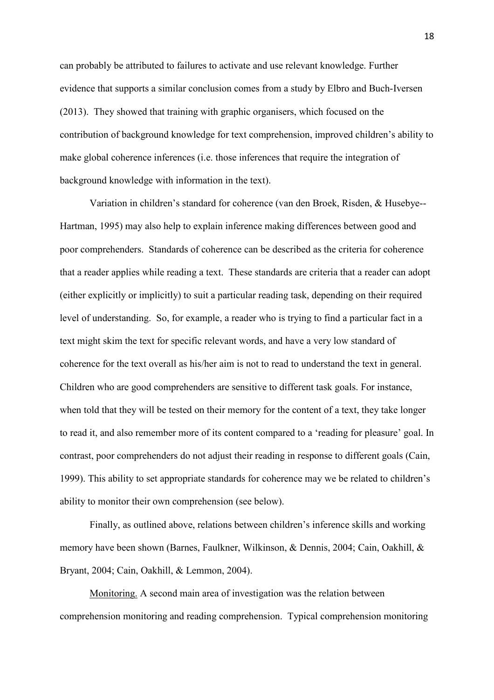can probably be attributed to failures to activate and use relevant knowledge. Further evidence that supports a similar conclusion comes from a study by Elbro and Buch-Iversen (2013). They showed that training with graphic organisers, which focused on the contribution of background knowledge for text comprehension, improved children's ability to make global coherence inferences (i.e. those inferences that require the integration of background knowledge with information in the text).

Variation in children's standard for coherence (van den Broek, Risden, & Husebye-- Hartman, 1995) may also help to explain inference making differences between good and poor comprehenders. Standards of coherence can be described as the criteria for coherence that a reader applies while reading a text. These standards are criteria that a reader can adopt (either explicitly or implicitly) to suit a particular reading task, depending on their required level of understanding. So, for example, a reader who is trying to find a particular fact in a text might skim the text for specific relevant words, and have a very low standard of coherence for the text overall as his/her aim is not to read to understand the text in general. Children who are good comprehenders are sensitive to different task goals. For instance, when told that they will be tested on their memory for the content of a text, they take longer to read it, and also remember more of its content compared to a 'reading for pleasure' goal. In contrast, poor comprehenders do not adjust their reading in response to different goals (Cain, 1999). This ability to set appropriate standards for coherence may we be related to children's ability to monitor their own comprehension (see below).

Finally, as outlined above, relations between children's inference skills and working memory have been shown (Barnes, Faulkner, Wilkinson, & Dennis, 2004; Cain, Oakhill, & Bryant, 2004; Cain, Oakhill, & Lemmon, 2004).

Monitoring. A second main area of investigation was the relation between comprehension monitoring and reading comprehension. Typical comprehension monitoring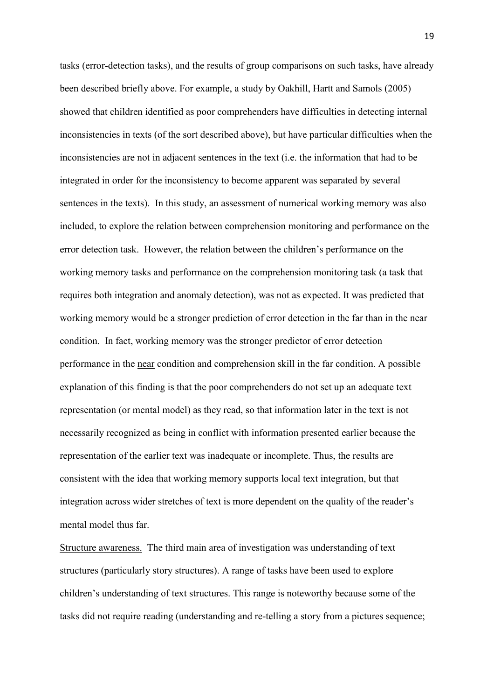tasks (error-detection tasks), and the results of group comparisons on such tasks, have already been described briefly above. For example, a study by Oakhill, Hartt and Samols (2005) showed that children identified as poor comprehenders have difficulties in detecting internal inconsistencies in texts (of the sort described above), but have particular difficulties when the inconsistencies are not in adjacent sentences in the text (i.e. the information that had to be integrated in order for the inconsistency to become apparent was separated by several sentences in the texts). In this study, an assessment of numerical working memory was also included, to explore the relation between comprehension monitoring and performance on the error detection task. However, the relation between the children's performance on the working memory tasks and performance on the comprehension monitoring task (a task that requires both integration and anomaly detection), was not as expected. It was predicted that working memory would be a stronger prediction of error detection in the far than in the near condition. In fact, working memory was the stronger predictor of error detection performance in the near condition and comprehension skill in the far condition. A possible explanation of this finding is that the poor comprehenders do not set up an adequate text representation (or mental model) as they read, so that information later in the text is not necessarily recognized as being in conflict with information presented earlier because the representation of the earlier text was inadequate or incomplete. Thus, the results are consistent with the idea that working memory supports local text integration, but that integration across wider stretches of text is more dependent on the quality of the reader's mental model thus far.

Structure awareness. The third main area of investigation was understanding of text structures (particularly story structures). A range of tasks have been used to explore children's understanding of text structures. This range is noteworthy because some of the tasks did not require reading (understanding and re-telling a story from a pictures sequence;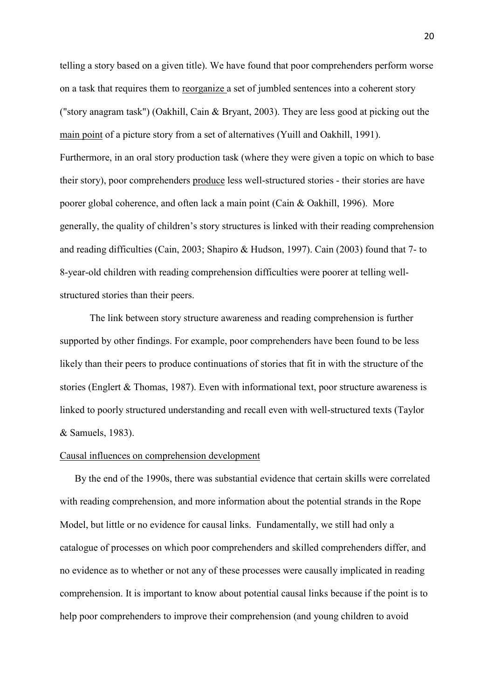telling a story based on a given title). We have found that poor comprehenders perform worse on a task that requires them to reorganize a set of jumbled sentences into a coherent story ("story anagram task") (Oakhill, Cain & Bryant, 2003). They are less good at picking out the main point of a picture story from a set of alternatives (Yuill and Oakhill, 1991). Furthermore, in an oral story production task (where they were given a topic on which to base their story), poor comprehenders produce less well-structured stories - their stories are have poorer global coherence, and often lack a main point (Cain & Oakhill, 1996). More generally, the quality of children's story structures is linked with their reading comprehension and reading difficulties (Cain, 2003; Shapiro & Hudson, 1997). Cain (2003) found that 7- to 8-year-old children with reading comprehension difficulties were poorer at telling wellstructured stories than their peers.

The link between story structure awareness and reading comprehension is further supported by other findings. For example, poor comprehenders have been found to be less likely than their peers to produce continuations of stories that fit in with the structure of the stories (Englert & Thomas, 1987). Even with informational text, poor structure awareness is linked to poorly structured understanding and recall even with well-structured texts (Taylor & Samuels, 1983).

#### Causal influences on comprehension development

By the end of the 1990s, there was substantial evidence that certain skills were correlated with reading comprehension, and more information about the potential strands in the Rope Model, but little or no evidence for causal links. Fundamentally, we still had only a catalogue of processes on which poor comprehenders and skilled comprehenders differ, and no evidence as to whether or not any of these processes were causally implicated in reading comprehension. It is important to know about potential causal links because if the point is to help poor comprehenders to improve their comprehension (and young children to avoid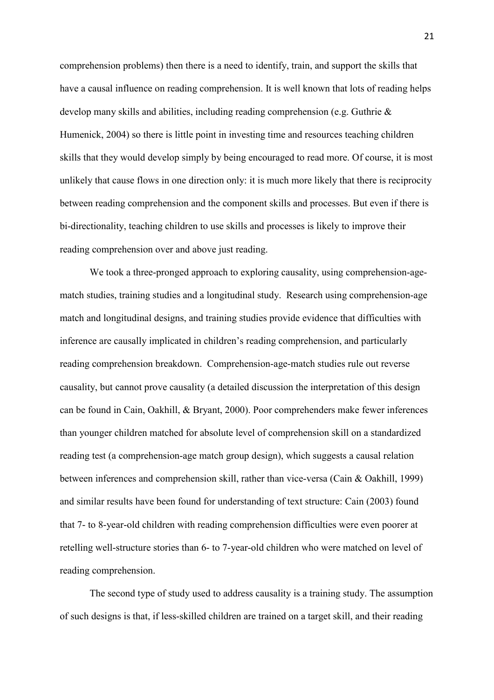comprehension problems) then there is a need to identify, train, and support the skills that have a causal influence on reading comprehension. It is well known that lots of reading helps develop many skills and abilities, including reading comprehension (e.g. Guthrie & Humenick, 2004) so there is little point in investing time and resources teaching children skills that they would develop simply by being encouraged to read more. Of course, it is most unlikely that cause flows in one direction only: it is much more likely that there is reciprocity between reading comprehension and the component skills and processes. But even if there is bi-directionality, teaching children to use skills and processes is likely to improve their reading comprehension over and above just reading.

We took a three-pronged approach to exploring causality, using comprehension-agematch studies, training studies and a longitudinal study. Research using comprehension-age match and longitudinal designs, and training studies provide evidence that difficulties with inference are causally implicated in children's reading comprehension, and particularly reading comprehension breakdown. Comprehension-age-match studies rule out reverse causality, but cannot prove causality (a detailed discussion the interpretation of this design can be found in Cain, Oakhill, & Bryant, 2000). Poor comprehenders make fewer inferences than younger children matched for absolute level of comprehension skill on a standardized reading test (a comprehension-age match group design), which suggests a causal relation between inferences and comprehension skill, rather than vice-versa (Cain & Oakhill, 1999) and similar results have been found for understanding of text structure: Cain (2003) found that 7- to 8-year-old children with reading comprehension difficulties were even poorer at retelling well-structure stories than 6- to 7-year-old children who were matched on level of reading comprehension.

The second type of study used to address causality is a training study. The assumption of such designs is that, if less-skilled children are trained on a target skill, and their reading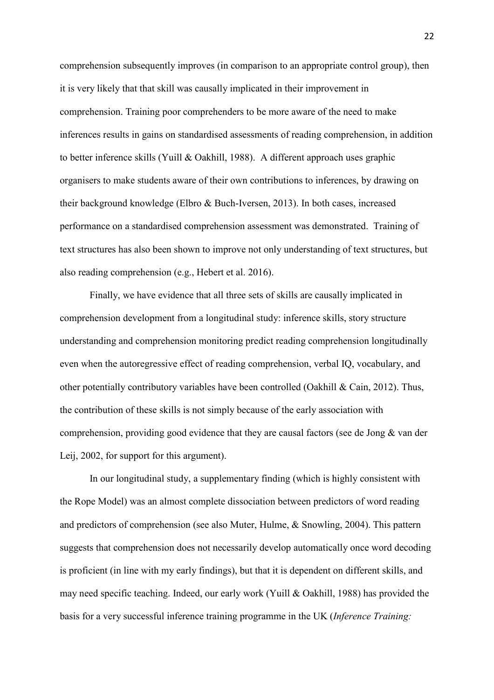comprehension subsequently improves (in comparison to an appropriate control group), then it is very likely that that skill was causally implicated in their improvement in comprehension. Training poor comprehenders to be more aware of the need to make inferences results in gains on standardised assessments of reading comprehension, in addition to better inference skills (Yuill & Oakhill, 1988). A different approach uses graphic organisers to make students aware of their own contributions to inferences, by drawing on their background knowledge (Elbro & Buch-Iversen, 2013). In both cases, increased performance on a standardised comprehension assessment was demonstrated. Training of text structures has also been shown to improve not only understanding of text structures, but also reading comprehension (e.g., Hebert et al. 2016).

Finally, we have evidence that all three sets of skills are causally implicated in comprehension development from a longitudinal study: inference skills, story structure understanding and comprehension monitoring predict reading comprehension longitudinally even when the autoregressive effect of reading comprehension, verbal IQ, vocabulary, and other potentially contributory variables have been controlled (Oakhill & Cain, 2012). Thus, the contribution of these skills is not simply because of the early association with comprehension, providing good evidence that they are causal factors (see de Jong & van der Leij, 2002, for support for this argument).

In our longitudinal study, a supplementary finding (which is highly consistent with the Rope Model) was an almost complete dissociation between predictors of word reading and predictors of comprehension (see also Muter, Hulme, & Snowling, 2004). This pattern suggests that comprehension does not necessarily develop automatically once word decoding is proficient (in line with my early findings), but that it is dependent on different skills, and may need specific teaching. Indeed, our early work (Yuill & Oakhill, 1988) has provided the basis for a very successful inference training programme in the UK (*Inference Training:*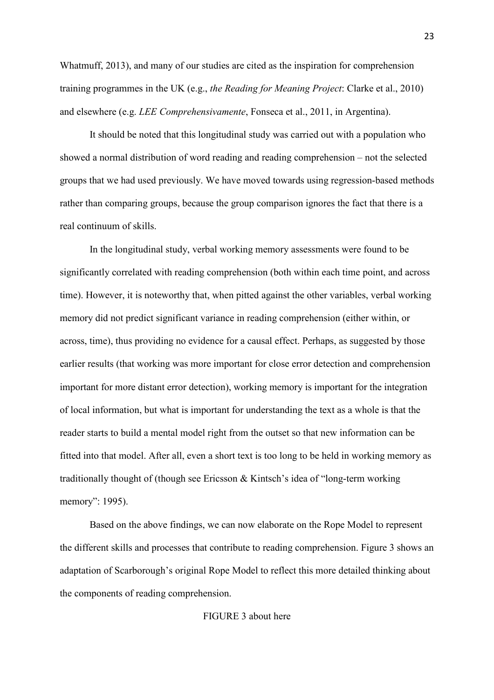Whatmuff, 2013), and many of our studies are cited as the inspiration for comprehension training programmes in the UK (e.g., *the Reading for Meaning Project*: Clarke et al., 2010) and elsewhere (e.g. *LEE Comprehensivamente*, Fonseca et al., 2011, in Argentina).

It should be noted that this longitudinal study was carried out with a population who showed a normal distribution of word reading and reading comprehension – not the selected groups that we had used previously. We have moved towards using regression-based methods rather than comparing groups, because the group comparison ignores the fact that there is a real continuum of skills.

In the longitudinal study, verbal working memory assessments were found to be significantly correlated with reading comprehension (both within each time point, and across time). However, it is noteworthy that, when pitted against the other variables, verbal working memory did not predict significant variance in reading comprehension (either within, or across, time), thus providing no evidence for a causal effect. Perhaps, as suggested by those earlier results (that working was more important for close error detection and comprehension important for more distant error detection), working memory is important for the integration of local information, but what is important for understanding the text as a whole is that the reader starts to build a mental model right from the outset so that new information can be fitted into that model. After all, even a short text is too long to be held in working memory as traditionally thought of (though see Ericsson & Kintsch's idea of "long-term working memory": 1995).

Based on the above findings, we can now elaborate on the Rope Model to represent the different skills and processes that contribute to reading comprehension. Figure 3 shows an adaptation of Scarborough's original Rope Model to reflect this more detailed thinking about the components of reading comprehension.

#### FIGURE 3 about here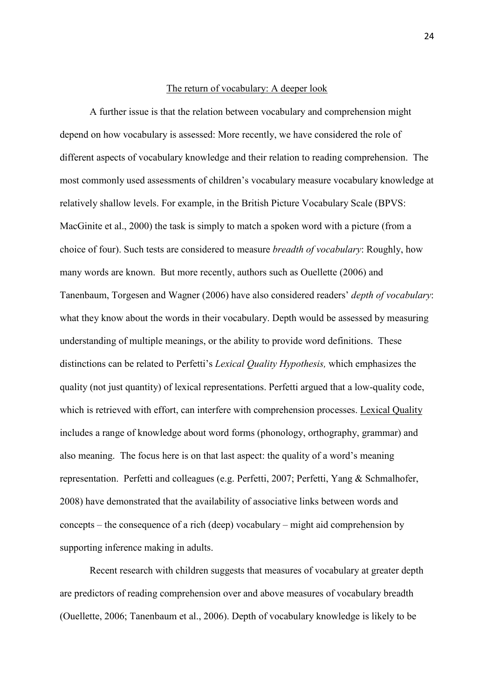#### The return of vocabulary: A deeper look

A further issue is that the relation between vocabulary and comprehension might depend on how vocabulary is assessed: More recently, we have considered the role of different aspects of vocabulary knowledge and their relation to reading comprehension. The most commonly used assessments of children's vocabulary measure vocabulary knowledge at relatively shallow levels. For example, in the British Picture Vocabulary Scale (BPVS: MacGinite et al., 2000) the task is simply to match a spoken word with a picture (from a choice of four). Such tests are considered to measure *breadth of vocabulary*: Roughly, how many words are known. But more recently, authors such as Ouellette (2006) and Tanenbaum, Torgesen and Wagner (2006) have also considered readers' *depth of vocabulary*: what they know about the words in their vocabulary. Depth would be assessed by measuring understanding of multiple meanings, or the ability to provide word definitions. These distinctions can be related to Perfetti's *Lexical Quality Hypothesis,* which emphasizes the quality (not just quantity) of lexical representations. Perfetti argued that a low-quality code, which is retrieved with effort, can interfere with comprehension processes. Lexical Quality includes a range of knowledge about word forms (phonology, orthography, grammar) and also meaning. The focus here is on that last aspect: the quality of a word's meaning representation. Perfetti and colleagues (e.g. Perfetti, 2007; Perfetti, Yang & Schmalhofer, 2008) have demonstrated that the availability of associative links between words and concepts – the consequence of a rich (deep) vocabulary – might aid comprehension by supporting inference making in adults.

Recent research with children suggests that measures of vocabulary at greater depth are predictors of reading comprehension over and above measures of vocabulary breadth (Ouellette, 2006; Tanenbaum et al., 2006). Depth of vocabulary knowledge is likely to be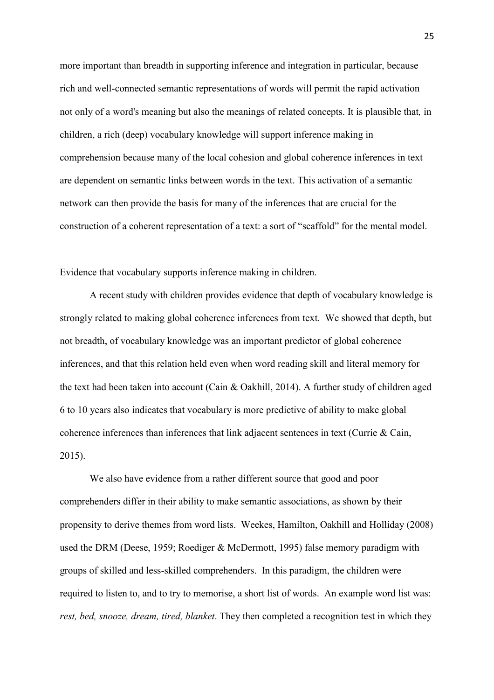more important than breadth in supporting inference and integration in particular, because rich and well-connected semantic representations of words will permit the rapid activation not only of a word's meaning but also the meanings of related concepts. It is plausible that*,* in children, a rich (deep) vocabulary knowledge will support inference making in comprehension because many of the local cohesion and global coherence inferences in text are dependent on semantic links between words in the text. This activation of a semantic network can then provide the basis for many of the inferences that are crucial for the construction of a coherent representation of a text: a sort of "scaffold" for the mental model.

#### Evidence that vocabulary supports inference making in children.

A recent study with children provides evidence that depth of vocabulary knowledge is strongly related to making global coherence inferences from text. We showed that depth, but not breadth, of vocabulary knowledge was an important predictor of global coherence inferences, and that this relation held even when word reading skill and literal memory for the text had been taken into account (Cain & Oakhill, 2014). A further study of children aged 6 to 10 years also indicates that vocabulary is more predictive of ability to make global coherence inferences than inferences that link adjacent sentences in text (Currie & Cain, 2015).

We also have evidence from a rather different source that good and poor comprehenders differ in their ability to make semantic associations, as shown by their propensity to derive themes from word lists. Weekes, Hamilton, Oakhill and Holliday (2008) used the DRM (Deese, 1959; Roediger & McDermott, 1995) false memory paradigm with groups of skilled and less-skilled comprehenders. In this paradigm, the children were required to listen to, and to try to memorise, a short list of words. An example word list was: *rest, bed, snooze, dream, tired, blanket*. They then completed a recognition test in which they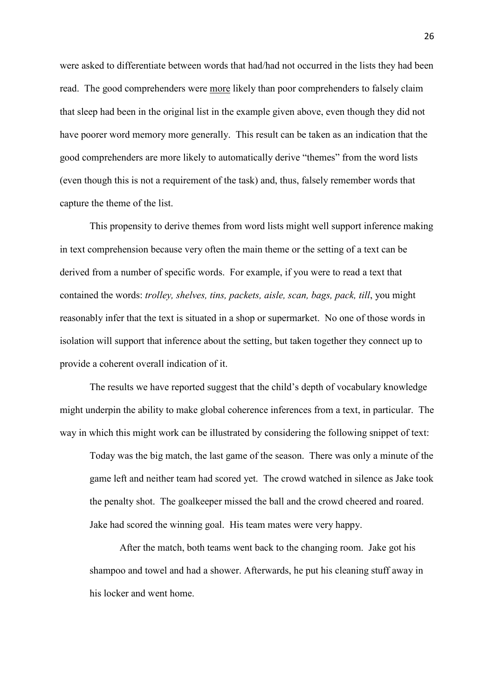were asked to differentiate between words that had/had not occurred in the lists they had been read. The good comprehenders were more likely than poor comprehenders to falsely claim that sleep had been in the original list in the example given above, even though they did not have poorer word memory more generally. This result can be taken as an indication that the good comprehenders are more likely to automatically derive "themes" from the word lists (even though this is not a requirement of the task) and, thus, falsely remember words that capture the theme of the list.

This propensity to derive themes from word lists might well support inference making in text comprehension because very often the main theme or the setting of a text can be derived from a number of specific words. For example, if you were to read a text that contained the words: *trolley, shelves, tins, packets, aisle, scan, bags, pack, till*, you might reasonably infer that the text is situated in a shop or supermarket. No one of those words in isolation will support that inference about the setting, but taken together they connect up to provide a coherent overall indication of it.

The results we have reported suggest that the child's depth of vocabulary knowledge might underpin the ability to make global coherence inferences from a text, in particular. The way in which this might work can be illustrated by considering the following snippet of text:

Today was the big match, the last game of the season. There was only a minute of the game left and neither team had scored yet. The crowd watched in silence as Jake took the penalty shot. The goalkeeper missed the ball and the crowd cheered and roared. Jake had scored the winning goal. His team mates were very happy.

After the match, both teams went back to the changing room. Jake got his shampoo and towel and had a shower. Afterwards, he put his cleaning stuff away in his locker and went home.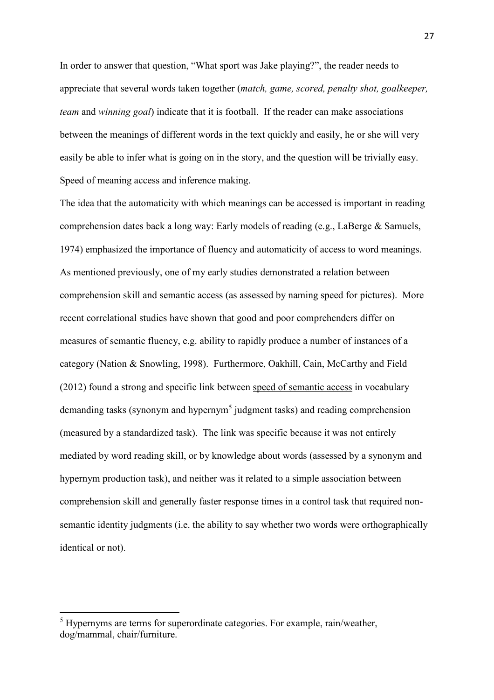In order to answer that question, "What sport was Jake playing?", the reader needs to appreciate that several words taken together (*match, game, scored, penalty shot, goalkeeper, team* and *winning goal*) indicate that it is football. If the reader can make associations between the meanings of different words in the text quickly and easily, he or she will very easily be able to infer what is going on in the story, and the question will be trivially easy. Speed of meaning access and inference making.

The idea that the automaticity with which meanings can be accessed is important in reading comprehension dates back a long way: Early models of reading (e.g., LaBerge & Samuels, 1974) emphasized the importance of fluency and automaticity of access to word meanings. As mentioned previously, one of my early studies demonstrated a relation between comprehension skill and semantic access (as assessed by naming speed for pictures). More recent correlational studies have shown that good and poor comprehenders differ on measures of semantic fluency, e.g. ability to rapidly produce a number of instances of a category (Nation & Snowling, 1998). Furthermore, Oakhill, Cain, McCarthy and Field (2012) found a strong and specific link between speed of semantic access in vocabulary demanding tasks (synonym and hypernym<sup>5</sup> judgment tasks) and reading comprehension (measured by a standardized task). The link was specific because it was not entirely mediated by word reading skill, or by knowledge about words (assessed by a synonym and hypernym production task), and neither was it related to a simple association between comprehension skill and generally faster response times in a control task that required nonsemantic identity judgments (i.e. the ability to say whether two words were orthographically identical or not).

 $\overline{a}$ 

<sup>&</sup>lt;sup>5</sup> Hypernyms are terms for superordinate categories. For example, rain/weather, dog/mammal, chair/furniture.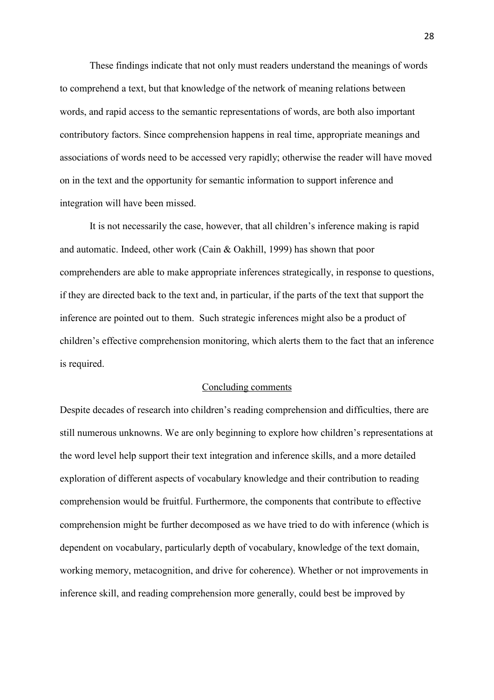These findings indicate that not only must readers understand the meanings of words to comprehend a text, but that knowledge of the network of meaning relations between words, and rapid access to the semantic representations of words, are both also important contributory factors. Since comprehension happens in real time, appropriate meanings and associations of words need to be accessed very rapidly; otherwise the reader will have moved on in the text and the opportunity for semantic information to support inference and integration will have been missed.

It is not necessarily the case, however, that all children's inference making is rapid and automatic. Indeed, other work (Cain & Oakhill, 1999) has shown that poor comprehenders are able to make appropriate inferences strategically, in response to questions, if they are directed back to the text and, in particular, if the parts of the text that support the inference are pointed out to them. Such strategic inferences might also be a product of children's effective comprehension monitoring, which alerts them to the fact that an inference is required.

#### Concluding comments

Despite decades of research into children's reading comprehension and difficulties, there are still numerous unknowns. We are only beginning to explore how children's representations at the word level help support their text integration and inference skills, and a more detailed exploration of different aspects of vocabulary knowledge and their contribution to reading comprehension would be fruitful. Furthermore, the components that contribute to effective comprehension might be further decomposed as we have tried to do with inference (which is dependent on vocabulary, particularly depth of vocabulary, knowledge of the text domain, working memory, metacognition, and drive for coherence). Whether or not improvements in inference skill, and reading comprehension more generally, could best be improved by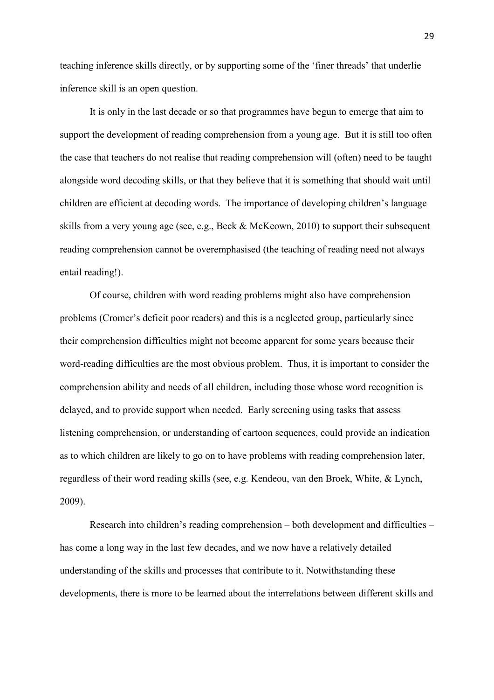teaching inference skills directly, or by supporting some of the 'finer threads' that underlie inference skill is an open question.

It is only in the last decade or so that programmes have begun to emerge that aim to support the development of reading comprehension from a young age. But it is still too often the case that teachers do not realise that reading comprehension will (often) need to be taught alongside word decoding skills, or that they believe that it is something that should wait until children are efficient at decoding words. The importance of developing children's language skills from a very young age (see, e.g., Beck & McKeown, 2010) to support their subsequent reading comprehension cannot be overemphasised (the teaching of reading need not always entail reading!).

Of course, children with word reading problems might also have comprehension problems (Cromer's deficit poor readers) and this is a neglected group, particularly since their comprehension difficulties might not become apparent for some years because their word-reading difficulties are the most obvious problem. Thus, it is important to consider the comprehension ability and needs of all children, including those whose word recognition is delayed, and to provide support when needed. Early screening using tasks that assess listening comprehension, or understanding of cartoon sequences, could provide an indication as to which children are likely to go on to have problems with reading comprehension later, regardless of their word reading skills (see, e.g. Kendeou, van den Broek, White, & Lynch, 2009).

Research into children's reading comprehension – both development and difficulties – has come a long way in the last few decades, and we now have a relatively detailed understanding of the skills and processes that contribute to it. Notwithstanding these developments, there is more to be learned about the interrelations between different skills and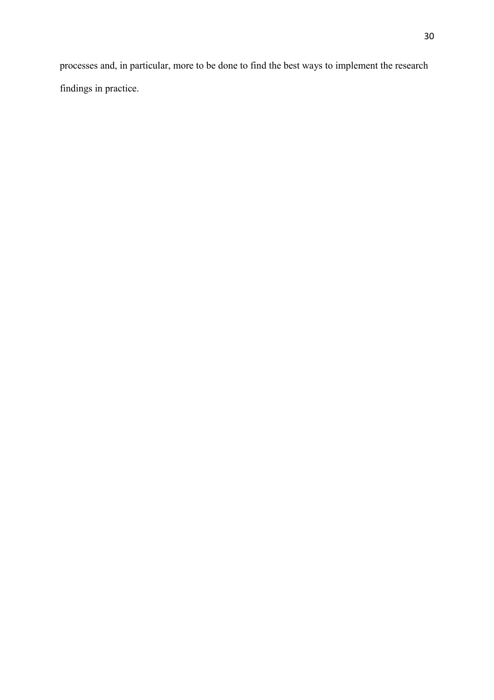processes and, in particular, more to be done to find the best ways to implement the research findings in practice.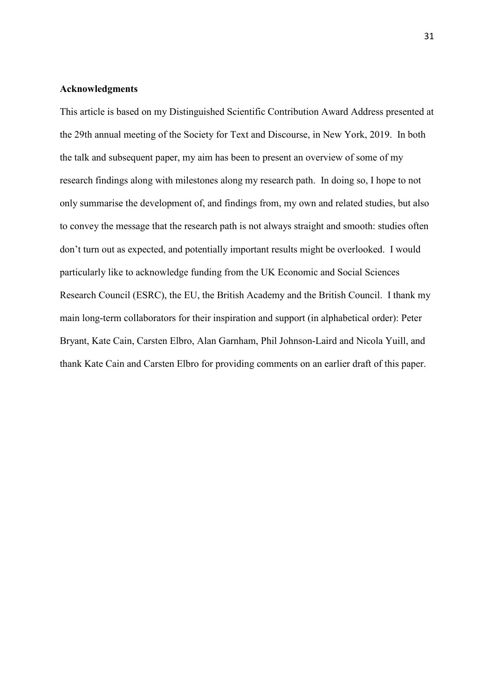#### **Acknowledgments**

This article is based on my Distinguished Scientific Contribution Award Address presented at the 29th annual meeting of the Society for Text and Discourse, in New York, 2019. In both the talk and subsequent paper, my aim has been to present an overview of some of my research findings along with milestones along my research path. In doing so, I hope to not only summarise the development of, and findings from, my own and related studies, but also to convey the message that the research path is not always straight and smooth: studies often don't turn out as expected, and potentially important results might be overlooked. I would particularly like to acknowledge funding from the UK Economic and Social Sciences Research Council (ESRC), the EU, the British Academy and the British Council. I thank my main long-term collaborators for their inspiration and support (in alphabetical order): Peter Bryant, Kate Cain, Carsten Elbro, Alan Garnham, Phil Johnson-Laird and Nicola Yuill, and thank Kate Cain and Carsten Elbro for providing comments on an earlier draft of this paper.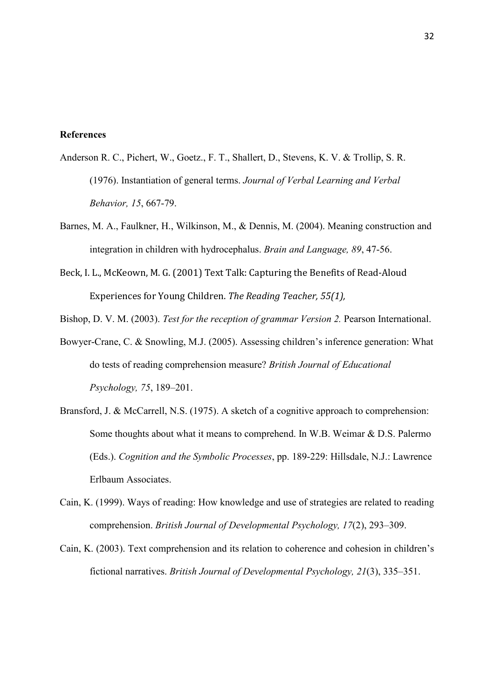#### **References**

- Anderson R. C., Pichert, W., Goetz., F. T., Shallert, D., Stevens, K. V. & Trollip, S. R. (1976). Instantiation of general terms. *Journal of Verbal Learning and Verbal Behavior, 15*, 667-79.
- Barnes, M. A., Faulkner, H., Wilkinson, M., & Dennis, M. (2004). Meaning construction and integration in children with hydrocephalus. *Brain and Language, 89*, 47-56.
- Beck, I. L., McKeown, M. G. (2001) Text Talk: Capturing the Benefits of Read-Aloud Experiences for Young Children. *The Reading Teacher, 55(1),*

Bishop, D. V. M. (2003). *Test for the reception of grammar Version 2.* Pearson International.

- Bowyer-Crane, C. & Snowling, M.J. (2005). Assessing children's inference generation: What do tests of reading comprehension measure? *British Journal of Educational Psychology, 75*, 189–201.
- Bransford, J. & McCarrell, N.S. (1975). A sketch of a cognitive approach to comprehension: Some thoughts about what it means to comprehend. In W.B. Weimar & D.S. Palermo (Eds.). *Cognition and the Symbolic Processes*, pp. 189-229: Hillsdale, N.J.: Lawrence Erlbaum Associates.
- Cain, K. (1999). Ways of reading: How knowledge and use of strategies are related to reading comprehension. *British Journal of Developmental Psychology, 17*(2), 293–309.
- Cain, K. (2003). Text comprehension and its relation to coherence and cohesion in children's fictional narratives. *British Journal of Developmental Psychology, 21*(3), 335–351.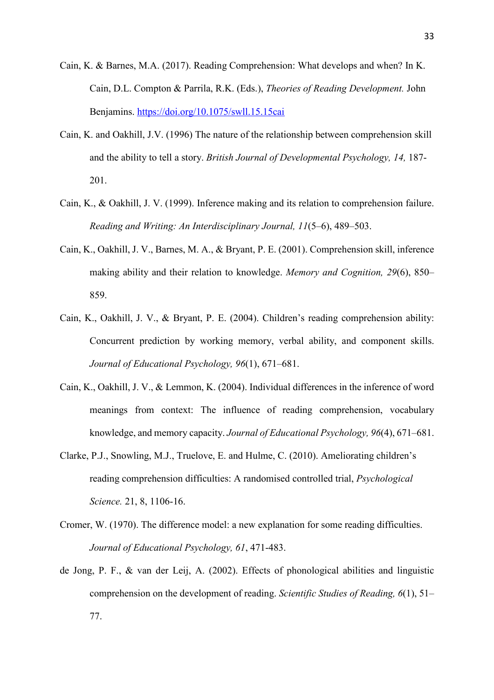- Cain, K. & Barnes, M.A. (2017). Reading Comprehension: What develops and when? In K. Cain, D.L. Compton & Parrila, R.K. (Eds.), *Theories of Reading Development.* John Benjamins.<https://doi.org/10.1075/swll.15.15cai>
- Cain, K. and Oakhill, J.V. (1996) The nature of the relationship between comprehension skill and the ability to tell a story. *British Journal of Developmental Psychology, 14,* 187- 201.
- Cain, K., & Oakhill, J. V. (1999). Inference making and its relation to comprehension failure. *Reading and Writing: An Interdisciplinary Journal, 11*(5–6), 489–503.
- Cain, K., Oakhill, J. V., Barnes, M. A., & Bryant, P. E. (2001). Comprehension skill, inference making ability and their relation to knowledge. *Memory and Cognition, 29*(6), 850– 859.
- Cain, K., Oakhill, J. V., & Bryant, P. E. (2004). Children's reading comprehension ability: Concurrent prediction by working memory, verbal ability, and component skills. *Journal of Educational Psychology, 96*(1), 671–681.
- Cain, K., Oakhill, J. V., & Lemmon, K. (2004). Individual differences in the inference of word meanings from context: The influence of reading comprehension, vocabulary knowledge, and memory capacity. *Journal of Educational Psychology, 96*(4), 671–681.
- Clarke, P.J., Snowling, M.J., Truelove, E. and Hulme, C. (2010). Ameliorating children's reading comprehension difficulties: A randomised controlled trial, *Psychological Science.* 21, 8, 1106-16.
- Cromer, W. (1970). The difference model: a new explanation for some reading difficulties. *Journal of Educational Psychology, 61*, 471-483.
- de Jong, P. F., & van der Leij, A. (2002). Effects of phonological abilities and linguistic comprehension on the development of reading. *Scientific Studies of Reading, 6*(1), 51– 77.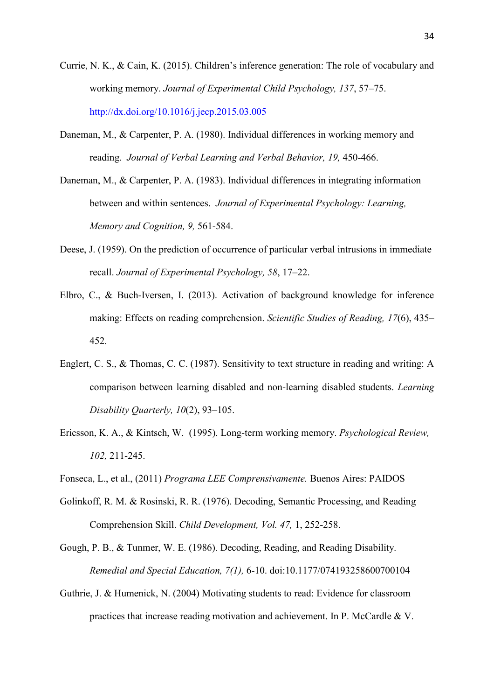- Currie, N. K., & Cain, K. (2015). Children's inference generation: The role of vocabulary and working memory. *Journal of Experimental Child Psychology, 137*, 57–75. <http://dx.doi.org/10.1016/j.jecp.2015.03.005>
- Daneman, M., & Carpenter, P. A. (1980). Individual differences in working memory and reading. *Journal of Verbal Learning and Verbal Behavior, 19,* 450-466.
- Daneman, M., & Carpenter, P. A. (1983). Individual differences in integrating information between and within sentences. *Journal of Experimental Psychology: Learning, Memory and Cognition, 9,* 561-584.
- Deese, J. (1959). On the prediction of occurrence of particular verbal intrusions in immediate recall. *Journal of Experimental Psychology, 58*, 17–22.
- Elbro, C., & Buch-Iversen, I. (2013). Activation of background knowledge for inference making: Effects on reading comprehension. *Scientific Studies of Reading, 17*(6), 435– 452.
- Englert, C. S., & Thomas, C. C. (1987). Sensitivity to text structure in reading and writing: A comparison between learning disabled and non-learning disabled students. *Learning Disability Quarterly, 10*(2), 93–105.
- Ericsson, K. A., & Kintsch, W. (1995). Long-term working memory. *Psychological Review, 102,* 211-245.
- Fonseca, L., et al., (2011) *Programa LEE Comprensivamente.* Buenos Aires: PAIDOS
- Golinkoff, R. M. & Rosinski, R. R. (1976). Decoding, Semantic Processing, and Reading Comprehension Skill. *Child Development, Vol. 47,* 1, 252-258.
- Gough, P. B., & Tunmer, W. E. (1986). Decoding, Reading, and Reading Disability. *Remedial and Special Education, 7(1),* 6-10. doi:10.1177/074193258600700104
- Guthrie, J. & Humenick, N. (2004) Motivating students to read: Evidence for classroom practices that increase reading motivation and achievement. In P. McCardle & V.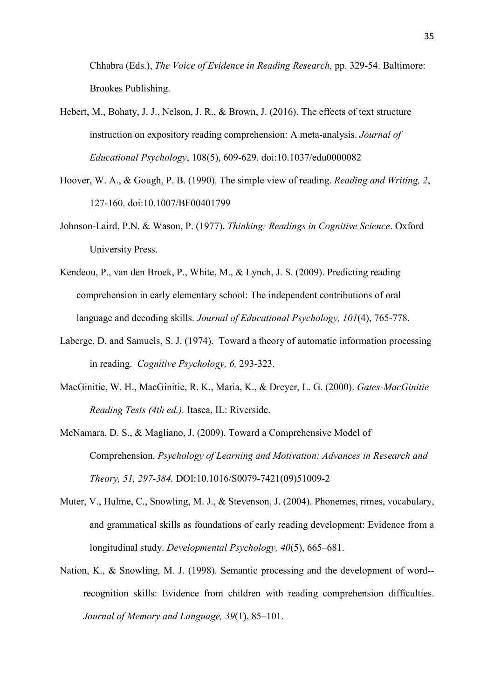Chhabra (Eds.), *The Voice of Evidence in Reading Research,* pp. 329-54. Baltimore: Brookes Publishing.

- Hebert, M., Bohaty, J. J., Nelson, J. R., & Brown, J. (2016). The effects of text structure instruction on expository reading comprehension: A meta-analysis. *Journal of Educational Psychology*, 108(5), 609-629. doi:10.1037/edu0000082
- Hoover, W. A., & Gough, P. B. (1990). The simple view of reading. *Reading and Writing, 2*, 127-160. doi:10.1007/BF00401799
- Johnson-Laird, P.N. & Wason, P. (1977). *Thinking: Readings in Cognitive Science*. Oxford University Press.
- Kendeou, P., van den Broek, P., White, M., & Lynch, J. S. (2009). Predicting reading comprehension in early elementary school: The independent contributions of oral language and decoding skills. *Journal of Educational Psychology, 101*(4), 765-778.
- Laberge, D. and Samuels, S. J. (1974). Toward a theory of automatic information processing in reading. *Cognitive Psychology, 6,* 293-323.
- MacGinitie, W. H., MacGinitie, R. K., Maria, K., & Dreyer, L. G. (2000). *Gates-MacGinitie Reading Tests (4th ed.).* Itasca, IL: Riverside.
- McNamara, D. S., & Magliano, J. (2009). Toward a Comprehensive Model of Comprehension. *Psychology of Learning and Motivation: Advances in Research and Theory, 51, 297-384.* DOI:10.1016/S0079-7421(09)51009-2
- Muter, V., Hulme, C., Snowling, M. J., & Stevenson, J. (2004). Phonemes, rimes, vocabulary, and grammatical skills as foundations of early reading development: Evidence from a longitudinal study. *Developmental Psychology, 40*(5), 665–681.
- Nation, K., & Snowling, M. J. (1998). Semantic processing and the development of word- recognition skills: Evidence from children with reading comprehension difficulties. *Journal of Memory and Language, 39*(1), 85–101.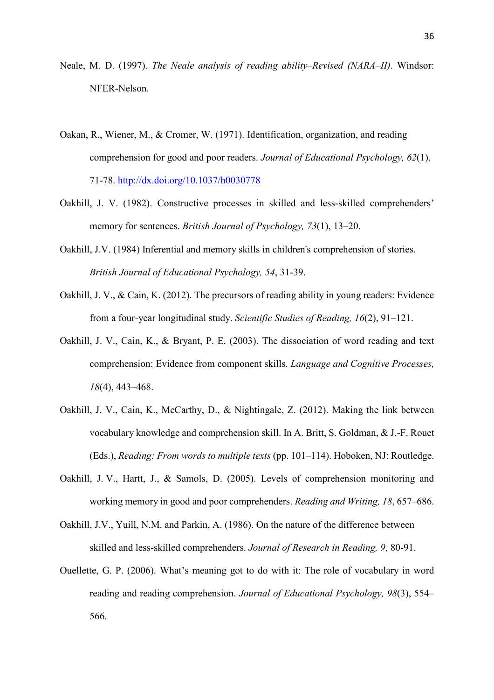- Neale, M. D. (1997). *The Neale analysis of reading ability–Revised (NARA–II)*. Windsor: NFER-Nelson.
- Oakan, R., Wiener, M., & Cromer, W. (1971). Identification, organization, and reading comprehension for good and poor readers. *Journal of Educational Psychology, 62*(1), 71-78. <http://dx.doi.org/10.1037/h0030778>
- Oakhill, J. V. (1982). Constructive processes in skilled and less-skilled comprehenders' memory for sentences. *British Journal of Psychology, 73*(1), 13–20.
- Oakhill, J.V. (1984) Inferential and memory skills in children's comprehension of stories. *British Journal of Educational Psychology, 54*, 31-39.
- Oakhill, J. V., & Cain, K. (2012). The precursors of reading ability in young readers: Evidence from a four-year longitudinal study. *Scientific Studies of Reading, 16*(2), 91–121.
- Oakhill, J. V., Cain, K., & Bryant, P. E. (2003). The dissociation of word reading and text comprehension: Evidence from component skills. *Language and Cognitive Processes, 18*(4), 443–468.
- Oakhill, J. V., Cain, K., McCarthy, D., & Nightingale, Z. (2012). Making the link between vocabulary knowledge and comprehension skill. In A. Britt, S. Goldman, & J.-F. Rouet (Eds.), *Reading: From words to multiple texts* (pp. 101–114). Hoboken, NJ: Routledge.
- Oakhill, J. V., Hartt, J., & Samols, D. (2005). Levels of comprehension monitoring and working memory in good and poor comprehenders. *Reading and Writing, 18*, 657–686.
- Oakhill, J.V., Yuill, N.M. and Parkin, A. (1986). On the nature of the difference between skilled and less-skilled comprehenders. *Journal of Research in Reading, 9*, 80-91.
- Ouellette, G. P. (2006). What's meaning got to do with it: The role of vocabulary in word reading and reading comprehension. *Journal of Educational Psychology, 98*(3), 554– 566.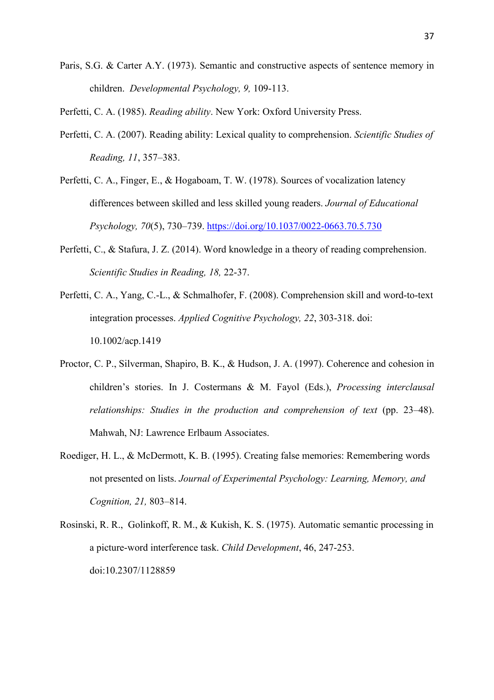Paris, S.G. & Carter A.Y. (1973). Semantic and constructive aspects of sentence memory in children. *Developmental Psychology, 9,* 109-113.

Perfetti, C. A. (1985). *Reading ability*. New York: Oxford University Press.

- Perfetti, C. A. (2007). Reading ability: Lexical quality to comprehension. *Scientific Studies of Reading, 11*, 357–383.
- Perfetti, C. A., Finger, E., & Hogaboam, T. W. (1978). Sources of vocalization latency differences between skilled and less skilled young readers. *Journal of Educational Psychology, 70*(5), 730–739. [https://doi.org/10.1037/0022-0663.70.5.730](https://psycnet.apa.org/doi/10.1037/0022-0663.70.5.730)
- Perfetti, C., & Stafura, J. Z. (2014). Word knowledge in a theory of reading comprehension. *Scientific Studies in Reading, 18,* 22-37.
- Perfetti, C. A., Yang, C.-L., & Schmalhofer, F. (2008). Comprehension skill and word-to-text integration processes. *Applied Cognitive Psychology, 22*, 303-318. doi: 10.1002/acp.1419
- Proctor, C. P., Silverman, Shapiro, B. K., & Hudson, J. A. (1997). Coherence and cohesion in children's stories. In J. Costermans & M. Fayol (Eds.), *Processing interclausal relationships: Studies in the production and comprehension of text* (pp. 23–48). Mahwah, NJ: Lawrence Erlbaum Associates.
- Roediger, H. L., & McDermott, K. B. (1995). Creating false memories: Remembering words not presented on lists. *Journal of Experimental Psychology: Learning, Memory, and Cognition, 21,* 803–814.
- Rosinski, R. R., Golinkoff, R. M., & Kukish, K. S. (1975). Automatic semantic processing in a picture-word interference task. *Child Development*, 46, 247-253. doi:10.2307/1128859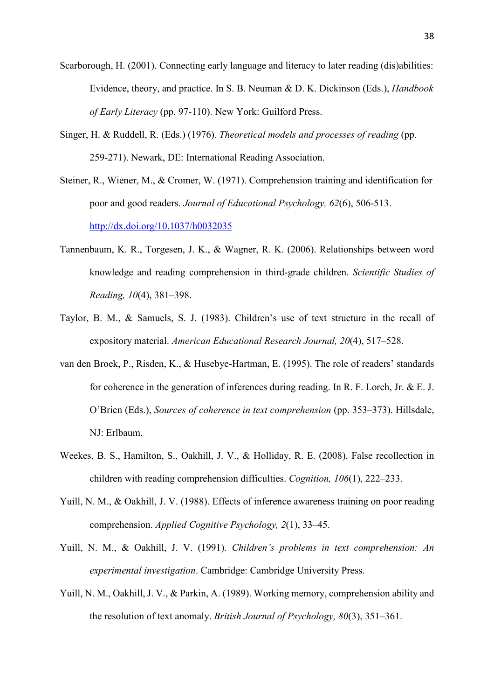- Scarborough, H. (2001). Connecting early language and literacy to later reading (dis)abilities: Evidence, theory, and practice. In S. B. Neuman & D. K. Dickinson (Eds.), *Handbook of Early Literacy* (pp. 97-110). New York: Guilford Press.
- Singer, H. & Ruddell, R. (Eds.) (1976). *Theoretical models and processes of reading* (pp. 259-271). Newark, DE: International Reading Association.
- Steiner, R., Wiener, M., & Cromer, W. (1971). Comprehension training and identification for poor and good readers. *Journal of Educational Psychology, 62*(6), 506-513. <http://dx.doi.org/10.1037/h0032035>
- Tannenbaum, K. R., Torgesen, J. K., & Wagner, R. K. (2006). Relationships between word knowledge and reading comprehension in third-grade children. *Scientific Studies of Reading, 10*(4), 381–398.
- Taylor, B. M., & Samuels, S. J. (1983). Children's use of text structure in the recall of expository material. *American Educational Research Journal, 20*(4), 517–528.
- van den Broek, P., Risden, K., & Husebye-Hartman, E. (1995). The role of readers' standards for coherence in the generation of inferences during reading. In R. F. Lorch, Jr. & E. J. O'Brien (Eds.), *Sources of coherence in text comprehension* (pp. 353–373). Hillsdale, NJ: Erlbaum.
- Weekes, B. S., Hamilton, S., Oakhill, J. V., & Holliday, R. E. (2008). False recollection in children with reading comprehension difficulties. *Cognition, 106*(1), 222–233.
- Yuill, N. M., & Oakhill, J. V. (1988). Effects of inference awareness training on poor reading comprehension. *Applied Cognitive Psychology, 2*(1), 33–45.
- Yuill, N. M., & Oakhill, J. V. (1991). *Children's problems in text comprehension: An experimental investigation*. Cambridge: Cambridge University Press.
- Yuill, N. M., Oakhill, J. V., & Parkin, A. (1989). Working memory, comprehension ability and the resolution of text anomaly. *British Journal of Psychology, 80*(3), 351–361.